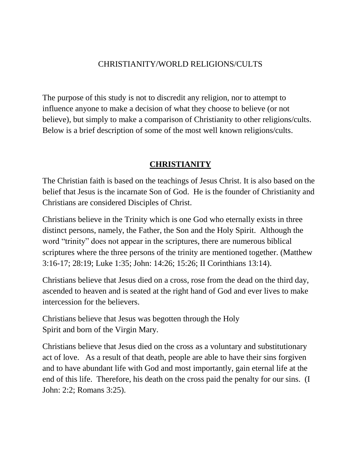#### CHRISTIANITY/WORLD RELIGIONS/CULTS

The purpose of this study is not to discredit any religion, nor to attempt to influence anyone to make a decision of what they choose to believe (or not believe), but simply to make a comparison of Christianity to other religions/cults. Below is a brief description of some of the most well known religions/cults.

#### **CHRISTIANITY**

The Christian faith is based on the teachings of Jesus Christ. It is also based on the belief that Jesus is the incarnate Son of God. He is the founder of Christianity and Christians are considered Disciples of Christ.

Christians believe in the Trinity which is one God who eternally exists in three distinct persons, namely, the Father, the Son and the Holy Spirit. Although the word "trinity" does not appear in the scriptures, there are numerous biblical scriptures where the three persons of the trinity are mentioned together. (Matthew 3:16-17; 28:19; Luke 1:35; John: 14:26; 15:26; II Corinthians 13:14).

Christians believe that Jesus died on a cross, rose from the dead on the third day, ascended to heaven and is seated at the right hand of God and ever lives to make intercession for the believers.

Christians believe that Jesus was begotten through the Holy Spirit and born of the Virgin Mary.

Christians believe that Jesus died on the cross as a voluntary and substitutionary act of love. As a result of that death, people are able to have their sins forgiven and to have abundant life with God and most importantly, gain eternal life at the end of this life. Therefore, his death on the cross paid the penalty for our sins. (I John: 2:2; Romans 3:25).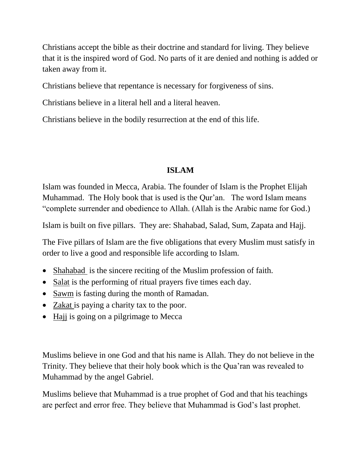Christians accept the bible as their doctrine and standard for living. They believe that it is the inspired word of God. No parts of it are denied and nothing is added or taken away from it.

Christians believe that repentance is necessary for forgiveness of sins.

Christians believe in a literal hell and a literal heaven.

Christians believe in the bodily resurrection at the end of this life.

# **ISLAM**

Islam was founded in Mecca, Arabia. The founder of Islam is the Prophet Elijah Muhammad. The Holy book that is used is the Qur'an. The word Islam means "complete surrender and obedience to Allah. (Allah is the Arabic name for God.)

Islam is built on five pillars. They are: Shahabad, Salad, Sum, Zapata and Hajj.

The Five pillars of Islam are the five obligations that every Muslim must satisfy in order to live a good and responsible life according to Islam.

- Shahabad is the sincere reciting of the Muslim profession of faith.
- Salat is the performing of ritual prayers five times each day.
- Sawm is fasting during the month of Ramadan.
- Zakat is paying a charity tax to the poor.
- Hajj is going on a pilgrimage to Mecca

Muslims believe in one God and that his name is Allah. They do not believe in the Trinity. They believe that their holy book which is the Qua'ran was revealed to Muhammad by the angel Gabriel.

Muslims believe that Muhammad is a true prophet of God and that his teachings are perfect and error free. They believe that Muhammad is God's last prophet.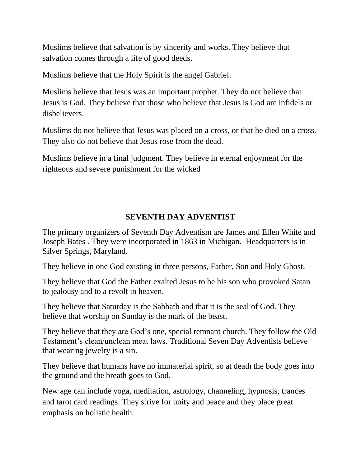Muslims believe that salvation is by sincerity and works. They believe that salvation comes through a life of good deeds.

Muslims believe that the Holy Spirit is the angel Gabriel.

Muslims believe that Jesus was an important prophet. They do not believe that Jesus is God. They believe that those who believe that Jesus is God are infidels or disbelievers.

Muslims do not believe that Jesus was placed on a cross, or that he died on a cross. They also do not believe that Jesus rose from the dead.

Muslims believe in a final judgment. They believe in eternal enjoyment for the righteous and severe punishment for the wicked

# **SEVENTH DAY ADVENTIST**

The primary organizers of Seventh Day Adventism are James and Ellen White and Joseph Bates . They were incorporated in 1863 in Michigan. Headquarters is in Silver Springs, Maryland.

They believe in one God existing in three persons, Father, Son and Holy Ghost.

They believe that God the Father exalted Jesus to be his son who provoked Satan to jealousy and to a revolt in heaven.

They believe that Saturday is the Sabbath and that it is the seal of God. They believe that worship on Sunday is the mark of the beast.

They believe that they are God's one, special remnant church. They follow the Old Testament's clean/unclean meat laws. Traditional Seven Day Adventists believe that wearing jewelry is a sin.

They believe that humans have no immaterial spirit, so at death the body goes into the ground and the breath goes to God.

New age can include yoga, meditation, astrology, channeling, hypnosis, trances and tarot card readings. They strive for unity and peace and they place great emphasis on holistic health.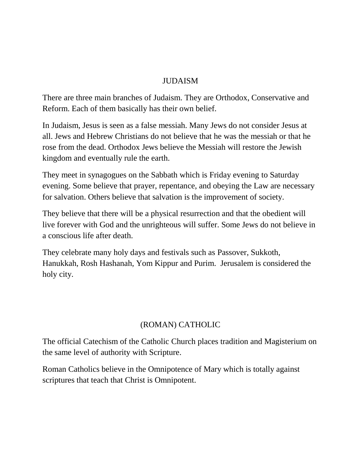### JUDAISM

There are three main branches of Judaism. They are Orthodox, Conservative and Reform. Each of them basically has their own belief.

In Judaism, Jesus is seen as a false messiah. Many Jews do not consider Jesus at all. Jews and Hebrew Christians do not believe that he was the messiah or that he rose from the dead. Orthodox Jews believe the Messiah will restore the Jewish kingdom and eventually rule the earth.

They meet in synagogues on the Sabbath which is Friday evening to Saturday evening. Some believe that prayer, repentance, and obeying the Law are necessary for salvation. Others believe that salvation is the improvement of society.

They believe that there will be a physical resurrection and that the obedient will live forever with God and the unrighteous will suffer. Some Jews do not believe in a conscious life after death.

They celebrate many holy days and festivals such as Passover, Sukkoth, Hanukkah, Rosh Hashanah, Yom Kippur and Purim. Jerusalem is considered the holy city.

# (ROMAN) CATHOLIC

The official Catechism of the Catholic Church places tradition and Magisterium on the same level of authority with Scripture.

Roman Catholics believe in the Omnipotence of Mary which is totally against scriptures that teach that Christ is Omnipotent.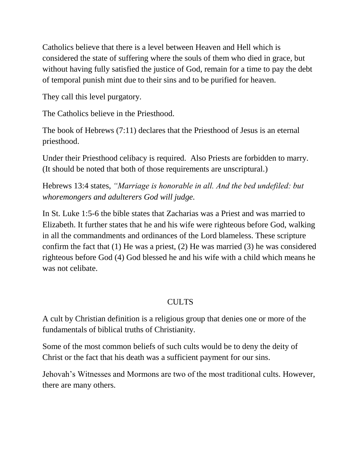Catholics believe that there is a level between Heaven and Hell which is considered the state of suffering where the souls of them who died in grace, but without having fully satisfied the justice of God, remain for a time to pay the debt of temporal punish mint due to their sins and to be purified for heaven.

They call this level purgatory.

The Catholics believe in the Priesthood.

The book of Hebrews (7:11) declares that the Priesthood of Jesus is an eternal priesthood.

Under their Priesthood celibacy is required. Also Priests are forbidden to marry. (It should be noted that both of those requirements are unscriptural.)

Hebrews 13:4 states, *"Marriage is honorable in all. And the bed undefiled: but whoremongers and adulterers God will judge.*

In St. Luke 1:5-6 the bible states that Zacharias was a Priest and was married to Elizabeth. It further states that he and his wife were righteous before God, walking in all the commandments and ordinances of the Lord blameless. These scripture confirm the fact that (1) He was a priest, (2) He was married (3) he was considered righteous before God (4) God blessed he and his wife with a child which means he was not celibate.

# CULTS

A cult by Christian definition is a religious group that denies one or more of the fundamentals of biblical truths of Christianity.

Some of the most common beliefs of such cults would be to deny the deity of Christ or the fact that his death was a sufficient payment for our sins.

Jehovah's Witnesses and Mormons are two of the most traditional cults. However, there are many others.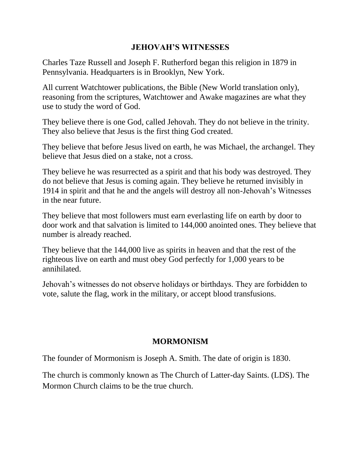#### **JEHOVAH'S WITNESSES**

Charles Taze Russell and Joseph F. Rutherford began this religion in 1879 in Pennsylvania. Headquarters is in Brooklyn, New York.

All current Watchtower publications, the Bible (New World translation only), reasoning from the scriptures, Watchtower and Awake magazines are what they use to study the word of God.

They believe there is one God, called Jehovah. They do not believe in the trinity. They also believe that Jesus is the first thing God created.

They believe that before Jesus lived on earth, he was Michael, the archangel. They believe that Jesus died on a stake, not a cross.

They believe he was resurrected as a spirit and that his body was destroyed. They do not believe that Jesus is coming again. They believe he returned invisibly in 1914 in spirit and that he and the angels will destroy all non-Jehovah's Witnesses in the near future.

They believe that most followers must earn everlasting life on earth by door to door work and that salvation is limited to 144,000 anointed ones. They believe that number is already reached.

They believe that the 144,000 live as spirits in heaven and that the rest of the righteous live on earth and must obey God perfectly for 1,000 years to be annihilated.

Jehovah's witnesses do not observe holidays or birthdays. They are forbidden to vote, salute the flag, work in the military, or accept blood transfusions.

#### **MORMONISM**

The founder of Mormonism is Joseph A. Smith. The date of origin is 1830.

The church is commonly known as The Church of Latter-day Saints. (LDS). The Mormon Church claims to be the true church.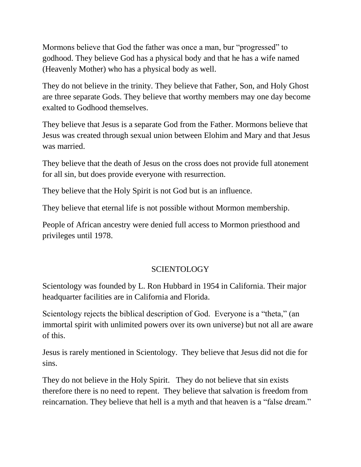Mormons believe that God the father was once a man, bur "progressed" to godhood. They believe God has a physical body and that he has a wife named (Heavenly Mother) who has a physical body as well.

They do not believe in the trinity. They believe that Father, Son, and Holy Ghost are three separate Gods. They believe that worthy members may one day become exalted to Godhood themselves.

They believe that Jesus is a separate God from the Father. Mormons believe that Jesus was created through sexual union between Elohim and Mary and that Jesus was married.

They believe that the death of Jesus on the cross does not provide full atonement for all sin, but does provide everyone with resurrection.

They believe that the Holy Spirit is not God but is an influence.

They believe that eternal life is not possible without Mormon membership.

People of African ancestry were denied full access to Mormon priesthood and privileges until 1978.

#### **SCIENTOLOGY**

Scientology was founded by L. Ron Hubbard in 1954 in California. Their major headquarter facilities are in California and Florida.

Scientology rejects the biblical description of God. Everyone is a "theta," (an immortal spirit with unlimited powers over its own universe) but not all are aware of this.

Jesus is rarely mentioned in Scientology. They believe that Jesus did not die for sins.

They do not believe in the Holy Spirit. They do not believe that sin exists therefore there is no need to repent. They believe that salvation is freedom from reincarnation. They believe that hell is a myth and that heaven is a "false dream."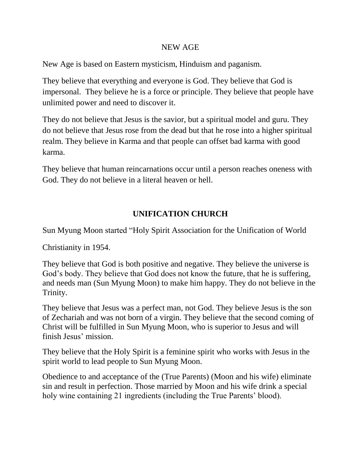#### NEW AGE

New Age is based on Eastern mysticism, Hinduism and paganism.

They believe that everything and everyone is God. They believe that God is impersonal. They believe he is a force or principle. They believe that people have unlimited power and need to discover it.

They do not believe that Jesus is the savior, but a spiritual model and guru. They do not believe that Jesus rose from the dead but that he rose into a higher spiritual realm. They believe in Karma and that people can offset bad karma with good karma.

They believe that human reincarnations occur until a person reaches oneness with God. They do not believe in a literal heaven or hell.

# **UNIFICATION CHURCH**

Sun Myung Moon started "Holy Spirit Association for the Unification of World

Christianity in 1954.

They believe that God is both positive and negative. They believe the universe is God's body. They believe that God does not know the future, that he is suffering, and needs man (Sun Myung Moon) to make him happy. They do not believe in the Trinity.

They believe that Jesus was a perfect man, not God. They believe Jesus is the son of Zechariah and was not born of a virgin. They believe that the second coming of Christ will be fulfilled in Sun Myung Moon, who is superior to Jesus and will finish Jesus' mission.

They believe that the Holy Spirit is a feminine spirit who works with Jesus in the spirit world to lead people to Sun Myung Moon.

Obedience to and acceptance of the (True Parents) (Moon and his wife) eliminate sin and result in perfection. Those married by Moon and his wife drink a special holy wine containing 21 ingredients (including the True Parents' blood).